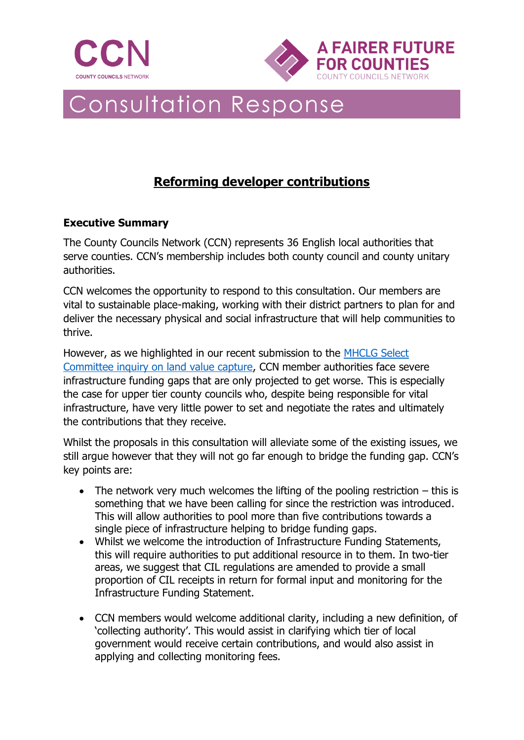



# **Consultation Response**

# **Reforming developer contributions**

# **Executive Summary**

The County Councils Network (CCN) represents 36 English local authorities that serve counties. CCN's membership includes both county council and county unitary authorities.

CCN welcomes the opportunity to respond to this consultation. Our members are vital to sustainable place-making, working with their district partners to plan for and deliver the necessary physical and social infrastructure that will help communities to thrive.

However, as we highlighted in our recent submission to the **MHCLG** Select [Committee inquiry on land value capture,](https://www.countycouncilsnetwork.org.uk/download/1514/) CCN member authorities face severe infrastructure funding gaps that are only projected to get worse. This is especially the case for upper tier county councils who, despite being responsible for vital infrastructure, have very little power to set and negotiate the rates and ultimately the contributions that they receive.

Whilst the proposals in this consultation will alleviate some of the existing issues, we still argue however that they will not go far enough to bridge the funding gap. CCN's key points are:

- The network very much welcomes the lifting of the pooling restriction  $-$  this is something that we have been calling for since the restriction was introduced. This will allow authorities to pool more than five contributions towards a single piece of infrastructure helping to bridge funding gaps.
- Whilst we welcome the introduction of Infrastructure Funding Statements, this will require authorities to put additional resource in to them. In two-tier areas, we suggest that CIL regulations are amended to provide a small proportion of CIL receipts in return for formal input and monitoring for the Infrastructure Funding Statement.
- CCN members would welcome additional clarity, including a new definition, of 'collecting authority'. This would assist in clarifying which tier of local government would receive certain contributions, and would also assist in applying and collecting monitoring fees.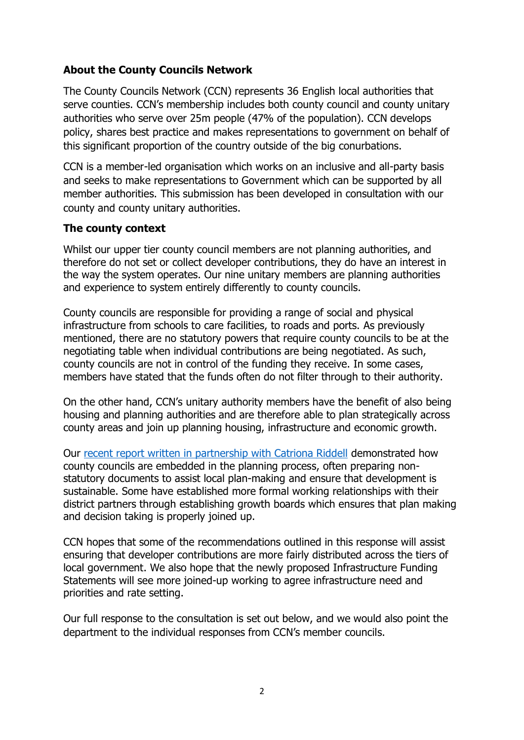# **About the County Councils Network**

The County Councils Network (CCN) represents 36 English local authorities that serve counties. CCN's membership includes both county council and county unitary authorities who serve over 25m people (47% of the population). CCN develops policy, shares best practice and makes representations to government on behalf of this significant proportion of the country outside of the big conurbations.

CCN is a member-led organisation which works on an inclusive and all-party basis and seeks to make representations to Government which can be supported by all member authorities. This submission has been developed in consultation with our county and county unitary authorities.

#### **The county context**

Whilst our upper tier county council members are not planning authorities, and therefore do not set or collect developer contributions, they do have an interest in the way the system operates. Our nine unitary members are planning authorities and experience to system entirely differently to county councils.

County councils are responsible for providing a range of social and physical infrastructure from schools to care facilities, to roads and ports. As previously mentioned, there are no statutory powers that require county councils to be at the negotiating table when individual contributions are being negotiated. As such, county councils are not in control of the funding they receive. In some cases, members have stated that the funds often do not filter through to their authority.

On the other hand, CCN's unitary authority members have the benefit of also being housing and planning authorities and are therefore able to plan strategically across county areas and join up planning housing, infrastructure and economic growth.

Our [recent report written in partnership with Catriona Riddell](https://www.countycouncilsnetwork.org.uk/download/1607/) demonstrated how county councils are embedded in the planning process, often preparing nonstatutory documents to assist local plan-making and ensure that development is sustainable. Some have established more formal working relationships with their district partners through establishing growth boards which ensures that plan making and decision taking is properly joined up.

CCN hopes that some of the recommendations outlined in this response will assist ensuring that developer contributions are more fairly distributed across the tiers of local government. We also hope that the newly proposed Infrastructure Funding Statements will see more joined-up working to agree infrastructure need and priorities and rate setting.

Our full response to the consultation is set out below, and we would also point the department to the individual responses from CCN's member councils.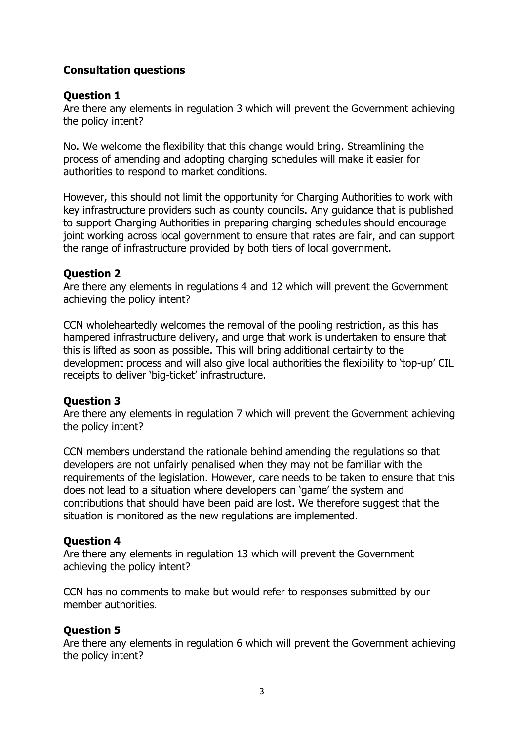# **Consultation questions**

#### **Question 1**

Are there any elements in regulation 3 which will prevent the Government achieving the policy intent?

No. We welcome the flexibility that this change would bring. Streamlining the process of amending and adopting charging schedules will make it easier for authorities to respond to market conditions.

However, this should not limit the opportunity for Charging Authorities to work with key infrastructure providers such as county councils. Any guidance that is published to support Charging Authorities in preparing charging schedules should encourage joint working across local government to ensure that rates are fair, and can support the range of infrastructure provided by both tiers of local government.

# **Question 2**

Are there any elements in regulations 4 and 12 which will prevent the Government achieving the policy intent?

CCN wholeheartedly welcomes the removal of the pooling restriction, as this has hampered infrastructure delivery, and urge that work is undertaken to ensure that this is lifted as soon as possible. This will bring additional certainty to the development process and will also give local authorities the flexibility to 'top-up' CIL receipts to deliver 'big-ticket' infrastructure.

# **Question 3**

Are there any elements in regulation 7 which will prevent the Government achieving the policy intent?

CCN members understand the rationale behind amending the regulations so that developers are not unfairly penalised when they may not be familiar with the requirements of the legislation. However, care needs to be taken to ensure that this does not lead to a situation where developers can 'game' the system and contributions that should have been paid are lost. We therefore suggest that the situation is monitored as the new regulations are implemented.

# **Question 4**

Are there any elements in regulation 13 which will prevent the Government achieving the policy intent?

CCN has no comments to make but would refer to responses submitted by our member authorities.

# **Question 5**

Are there any elements in regulation 6 which will prevent the Government achieving the policy intent?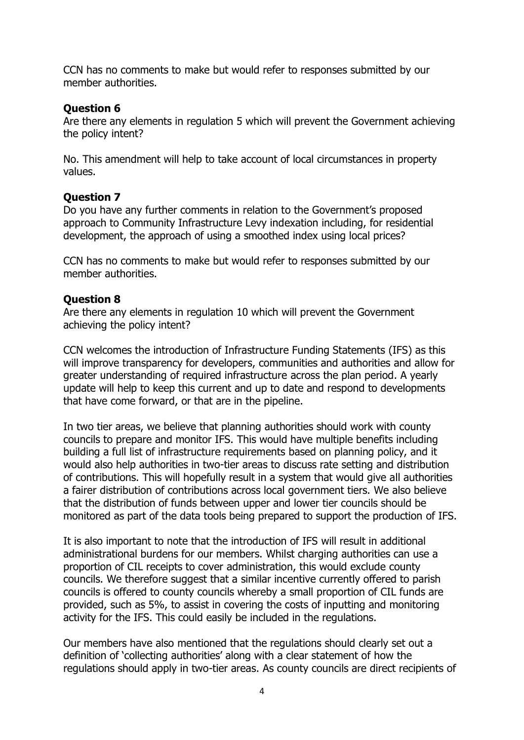CCN has no comments to make but would refer to responses submitted by our member authorities.

### **Question 6**

Are there any elements in regulation 5 which will prevent the Government achieving the policy intent?

No. This amendment will help to take account of local circumstances in property values.

#### **Question 7**

Do you have any further comments in relation to the Government's proposed approach to Community Infrastructure Levy indexation including, for residential development, the approach of using a smoothed index using local prices?

CCN has no comments to make but would refer to responses submitted by our member authorities.

#### **Question 8**

Are there any elements in regulation 10 which will prevent the Government achieving the policy intent?

CCN welcomes the introduction of Infrastructure Funding Statements (IFS) as this will improve transparency for developers, communities and authorities and allow for greater understanding of required infrastructure across the plan period. A yearly update will help to keep this current and up to date and respond to developments that have come forward, or that are in the pipeline.

In two tier areas, we believe that planning authorities should work with county councils to prepare and monitor IFS. This would have multiple benefits including building a full list of infrastructure requirements based on planning policy, and it would also help authorities in two-tier areas to discuss rate setting and distribution of contributions. This will hopefully result in a system that would give all authorities a fairer distribution of contributions across local government tiers. We also believe that the distribution of funds between upper and lower tier councils should be monitored as part of the data tools being prepared to support the production of IFS.

It is also important to note that the introduction of IFS will result in additional administrational burdens for our members. Whilst charging authorities can use a proportion of CIL receipts to cover administration, this would exclude county councils. We therefore suggest that a similar incentive currently offered to parish councils is offered to county councils whereby a small proportion of CIL funds are provided, such as 5%, to assist in covering the costs of inputting and monitoring activity for the IFS. This could easily be included in the regulations.

Our members have also mentioned that the regulations should clearly set out a definition of 'collecting authorities' along with a clear statement of how the regulations should apply in two-tier areas. As county councils are direct recipients of